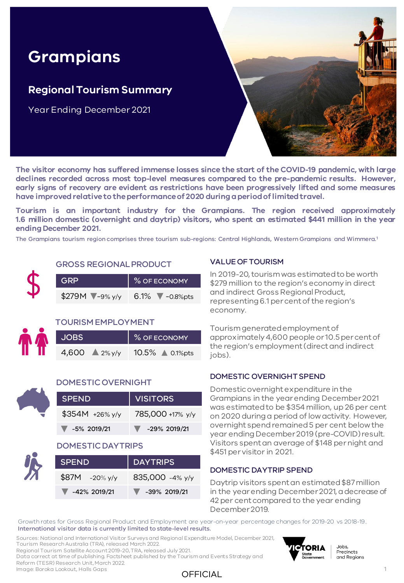# **Grampians**

## **Regional Tourism Summary**

Year Ending December 2021



**The visitor economy has suffered immense losses since the start of the COVID-19 pandemic, with large declines recorded across most top-level measures compared to the pre-pandemic results. However, early signs of recovery are evident as restrictions have been progressively lifted and some measures have improvedrelativeto theperformanceof 2020 duringaperiodoflimitedtravel.**

**Tourism is an important industry for the Grampians. The region received approximately 1.6 million domestic (overnight and daytrip) visitors, who spent an estimated \$441 million in the year ending December 2021.**

The Grampians tourism region comprises three tourism sub-regions: Central Highlands, Western Grampians and Wimmera.<sup>1</sup>



#### GROSS REGIONAL PRODUCT

| GRP                      | % OF ECONOMY             |
|--------------------------|--------------------------|
| \$279M $\sqrt{-9\% y/y}$ | 6.1% $\sqrt{-0.8\%}$ pts |

#### TOURISM EMPLOYMENT

| <b>JOBS</b>               | % OF ECONOMY    |
|---------------------------|-----------------|
| 4,600 $\triangle 2\%$ y/y | 10.5% ▲ 0.1%pts |



#### DOMESTIC OVERNIGHT

| <b>SPEND</b>                     | VISITORS              |
|----------------------------------|-----------------------|
| $$354M + 26\%$ y/y               | 785,000 +17% y/y      |
| $\blacktriangledown$ -5% 2019/21 | $\sqrt{29\%}$ 2019/21 |

#### DOMESTIC DAYTRIPS

| <b>SPEND</b>                      | DAYTRIPS                          |  |  |  |  |  |
|-----------------------------------|-----------------------------------|--|--|--|--|--|
| $$87M - 20\%$ y/y                 | 835,000 -4% y/y                   |  |  |  |  |  |
| $\blacktriangledown$ -42% 2019/21 | $\blacktriangledown$ -39% 2019/21 |  |  |  |  |  |

#### VALUE OF TOURISM

In 2019-20, tourism was estimated to be worth \$279 million to the region's economy in direct and indirect Gross Regional Product, representing 6.1 per cent of the region's economy.

Tourism generated employment of approximately 4,600 people or 10.5 per cent of the region's employment (direct and indirect jobs).

#### DOMESTIC OVERNIGHT SPEND

Domestic overnight expenditure in the Grampians in the year ending December 2021 was estimated to be \$354 million, up 26 per cent on 2020 during a period of low activity. However, overnight spend remained 5 per cent below the year ending December 2019 (pre-COVID) result. Visitors spent an average of \$148 per night and \$451 per visitor in 2021.

#### DOMESTIC DAYTRIP SPEND

Daytrip visitors spent an estimated \$87 million in the year ending December 2021, a decrease of 42 per cent compared to the year ending December 2019.

Growth rates for Gross Regional Product and Employment are year-on-year percentage changes for 2019-20 vs 2018-19.. International visitor data is currently limited to state-level results.

Sources: National and International Visitor Surveys and Regional Expenditure Model, December 2021, Tourism Research Australia (TRA), released March 2022.

Regional Tourism Satellite Account 2019-20, TRA, released July 2021. Data correct at time of publishing. Factsheet published by the Tourism and Events Strategy and

Reform (TESR) Research Unit, March 2022.

Image: Boroka Lookout, Halls Gaps





Jobs, Precincts and Regions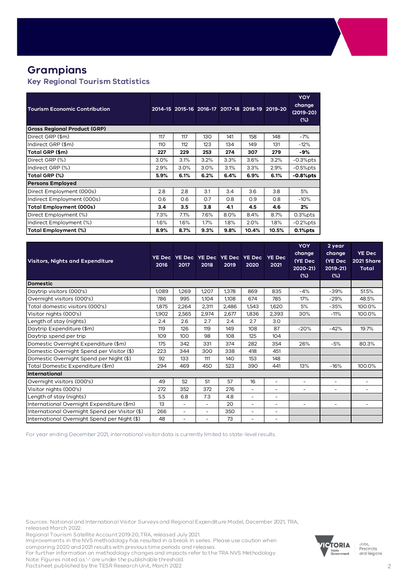## **Grampians**

#### **Key Regional Tourism Statistics**

| <b>Tourism Economic Contribution</b> |      |      |      |      |       | 2014-15 2015-16 2016-17 2017-18 2018-19 2019-20 | <b>YOY</b><br>change<br>$(2019-20)$<br>$(\%)$ |
|--------------------------------------|------|------|------|------|-------|-------------------------------------------------|-----------------------------------------------|
| <b>Gross Regional Product (GRP)</b>  |      |      |      |      |       |                                                 |                                               |
| Direct GRP (\$m)                     | 117  | 117  | 130  | 141  | 158   | 148                                             | $-7%$                                         |
| Indirect GRP (\$m)                   | 110  | 112  | 123  | 134  | 149   | 131                                             | $-12%$                                        |
| Total GRP (\$m)                      | 227  | 229  | 253  | 274  | 307   | 279                                             | -9%                                           |
| Direct GRP (%)                       | 3.0% | 3.1% | 3.2% | 3.3% | 3.6%  | 3.2%                                            | $-0.3%$ pts                                   |
| Indirect GRP (%)                     | 2.9% | 3.0% | 3.0% | 3.1% | 3.3%  | 2.9%                                            | $-0.5\%$ pts                                  |
| Total GRP (%)                        | 5.9% | 6.1% | 6.2% | 6.4% | 6.9%  | 6.1%                                            | $-0.8%$ pts                                   |
| <b>Persons Employed</b>              |      |      |      |      |       |                                                 |                                               |
| Direct Employment (000s)             | 2.8  | 2.8  | 3.1  | 3.4  | 3.6   | 3.8                                             | 5%                                            |
| Indirect Employment (000s)           | 0.6  | O.6  | 0.7  | 0.8  | O.9   | 0.8                                             | $-10%$                                        |
| <b>Total Employment (000s)</b>       | 3.4  | 3.5  | 3.8  | 4.1  | 4.5   | 4.6                                             | $2\%$                                         |
| Direct Employment (%)                | 7.3% | 7.1% | 7.6% | 8.0% | 8.4%  | 8.7%                                            | $0.3%$ pts                                    |
| Indirect Employment (%)              | 1.6% | 1.6% | 1.7% | 1.8% | 2.0%  | 1.8%                                            | $-0.2%$ pts                                   |
| Total Employment (%)                 | 8.9% | 8.7% | 9.3% | 9.8% | 10.4% | 10.5%                                           | $0.1%$ pts                                    |

| <b>Visitors, Nights and Expenditure</b>        | <b>YE Dec</b><br>2016 | 2017                     | YE Dec YE Dec YE Dec YE Dec<br>2018 | 2019  | 2020  | <b>YE Dec</b><br>2021 | <b>YOY</b><br>change<br>(YE Dec<br>2020-21)<br>(%) | 2 year<br>change<br>(YE Dec<br>$2019 - 21$<br>$(\%)$ | <b>YE Dec</b><br>2021 Share<br><b>Total</b> |
|------------------------------------------------|-----------------------|--------------------------|-------------------------------------|-------|-------|-----------------------|----------------------------------------------------|------------------------------------------------------|---------------------------------------------|
| <b>Domestic</b>                                |                       |                          |                                     |       |       |                       |                                                    |                                                      |                                             |
| Daytrip visitors (000's)                       | 1,089                 | 1,269                    | 1,207                               | 1,378 | 869   | 835                   | $-4%$                                              | $-39%$                                               | 51.5%                                       |
| Overnight visitors (000's)                     | 786                   | 995                      | 1,104                               | 1,108 | 674   | 785                   | 17%                                                | $-29%$                                               | 48.5%                                       |
| Total domestic visitors (000's)                | 1,875                 | 2,264                    | 2,311                               | 2,486 | 1,543 | 1,620                 | 5%                                                 | $-35%$                                               | 100.0%                                      |
| Visitor nights (000's)                         | 1,902                 | 2,565                    | 2.974                               | 2,677 | 1,836 | 2,393                 | 30%                                                | $-11%$                                               | 100.0%                                      |
| Length of stay (nights)                        | 2.4                   | 2.6                      | 2.7                                 | 2.4   | 2.7   | 3.0                   |                                                    |                                                      |                                             |
| Daytrip Expenditure (\$m)                      | 119                   | 126                      | 119                                 | 149   | 108   | 87                    | $-20%$                                             | $-42%$                                               | 19.7%                                       |
| Daytrip spend per trip                         | 109                   | 100                      | 98                                  | 108   | 125   | 104                   |                                                    |                                                      |                                             |
| Domestic Overnight Expenditure (\$m)           | 175                   | 342                      | 331                                 | 374   | 282   | 354                   | 26%                                                | $-5%$                                                | 80.3%                                       |
| Domestic Overnight Spend per Visitor (\$)      | 223                   | 344                      | 300                                 | 338   | 418   | 451                   |                                                    |                                                      |                                             |
| Domestic Overnight Spend per Night (\$)        | 92                    | 133                      | 111                                 | 140   | 153   | 148                   |                                                    |                                                      |                                             |
| Total Domestic Expenditure (\$m)               | 294                   | 469                      | 450                                 | 523   | 390   | 441                   | 13%                                                | $-16%$                                               | 100.0%                                      |
| International                                  |                       |                          |                                     |       |       |                       |                                                    |                                                      |                                             |
| Overnight visitors (000's)                     | 49                    | 52                       | 51                                  | 57    | 16    | ٠                     | $\overline{\phantom{a}}$                           | $\sim$                                               | ٠                                           |
| Visitor nights (000's)                         | 272                   | 352                      | 372                                 | 276   | ÷     | ۰                     | ۰                                                  |                                                      |                                             |
| Length of stay (nights)                        | 5.5                   | 6.8                      | 7.3                                 | 4.8   | ÷     | ۰                     |                                                    |                                                      |                                             |
| International Overnight Expenditure (\$m)      | 13                    | $\overline{\phantom{a}}$ | $\overline{\phantom{0}}$            | 20    | ۰     | ۰                     | $\overline{\phantom{a}}$                           | $\overline{\phantom{a}}$                             | ۰                                           |
| International Overnight Spend per Visitor (\$) | 266                   | ٠                        |                                     | 350   | ÷     | $\overline{a}$        |                                                    |                                                      |                                             |
| International Overnight Spend per Night (\$)   | 48                    | ۰                        |                                     | 73    | ۰     |                       |                                                    |                                                      |                                             |

For year ending December 2021, international visitor data is currently limited to state-level results.

Sources: National and International Visitor Surveys and Regional Expenditure Model, December 2021, TRA, released March 2022.

Regional Tourism Satellite Account 2019-20, TRA, released July 2021.

Improvements in the NVS methodology has resulted in a break in series. Please use caution when comparing 2020 and 2021 results with previous time periods and releases.

For further information on methodology changes and impacts refer to the TRA NVS Methodology.

Note: Figures noted as '-' are under the publishable threshold. Factsheet published by the TESR Research Unit, March 2022



Jobs,<br>Precincts<br>and Regions